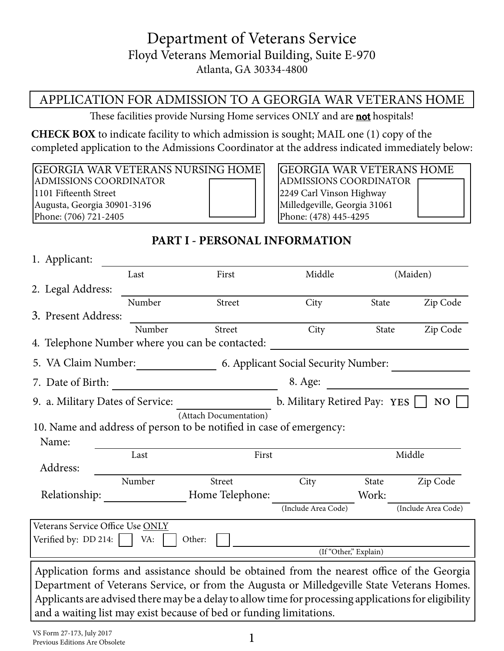# Department of Veterans Service Floyd Veterans Memorial Building, Suite E-970 Atlanta, GA 30334-4800

## APPLICATION FOR ADMISSION TO A GEORGIA WAR VETERANS HOME

These facilities provide Nursing Home services ONLY and are **not** hospitals!

**CHECK BOX** to indicate facility to which admission is sought; MAIL one (1) copy of the completed application to the Admissions Coordinator at the address indicated immediately below:

GEORGIA WAR VETERANS NURSING HOME ADMISSIONS COORDINATOR 1101 Fifteenth Street Augusta, Georgia 30901-3196 Phone: (706) 721-2405

GEORGIA WAR VETERANS HOME ADMISSIONS COORDINATOR 2249 Carl Vinson Highway Milledgeville, Georgia 31061 Phone: (478) 445-4295

## **PART I - PERSONAL INFORMATION**

| 1. Applicant:                                   |        |                                                                                                       |                                      |              |                     |
|-------------------------------------------------|--------|-------------------------------------------------------------------------------------------------------|--------------------------------------|--------------|---------------------|
|                                                 | Last   | First                                                                                                 | Middle                               |              | (Maiden)            |
| 2. Legal Address:                               |        |                                                                                                       |                                      |              |                     |
|                                                 | Number | Street                                                                                                | City                                 | State        | Zip Code            |
| 3. Present Address:                             |        |                                                                                                       |                                      |              |                     |
|                                                 | Number | <b>Street</b>                                                                                         | City                                 | <b>State</b> | Zip Code            |
| 4. Telephone Number where you can be contacted: |        |                                                                                                       |                                      |              |                     |
| 5. VA Claim Number:                             |        |                                                                                                       | 6. Applicant Social Security Number: |              |                     |
| 7. Date of Birth:                               |        |                                                                                                       | 8. Age:                              |              |                     |
| 9. a. Military Dates of Service:                |        |                                                                                                       | b. Military Retired Pay: YES         |              | NO                  |
|                                                 |        | (Attach Documentation)                                                                                |                                      |              |                     |
|                                                 |        | 10. Name and address of person to be notified in case of emergency:                                   |                                      |              |                     |
| Name:                                           |        |                                                                                                       |                                      |              |                     |
|                                                 | Last   | First                                                                                                 |                                      |              | Middle              |
| Address:                                        |        |                                                                                                       |                                      |              |                     |
|                                                 | Number | Street                                                                                                | City                                 | State        | Zip Code            |
| Relationship:                                   |        | Home Telephone:                                                                                       |                                      | Work:        |                     |
|                                                 |        |                                                                                                       | (Include Area Code)                  |              | (Include Area Code) |
| Veterans Service Office Use ONLY                |        |                                                                                                       |                                      |              |                     |
| Verified by: $DD 214:$                          | VA:    | Other:                                                                                                |                                      |              |                     |
|                                                 |        |                                                                                                       | (If "Other," Explain)                |              |                     |
|                                                 |        | Application forms and assistance should be obtained from the nearest office of the Georgia            |                                      |              |                     |
|                                                 |        | Department of Veterans Service, or from the Augusta or Milledgeville State Veterans Homes.            |                                      |              |                     |
|                                                 |        | Applicants are advised there may be a delay to allow time for processing applications for eligibility |                                      |              |                     |
|                                                 |        | and a waiting list may exist because of bed or funding limitations.                                   |                                      |              |                     |
|                                                 |        |                                                                                                       |                                      |              |                     |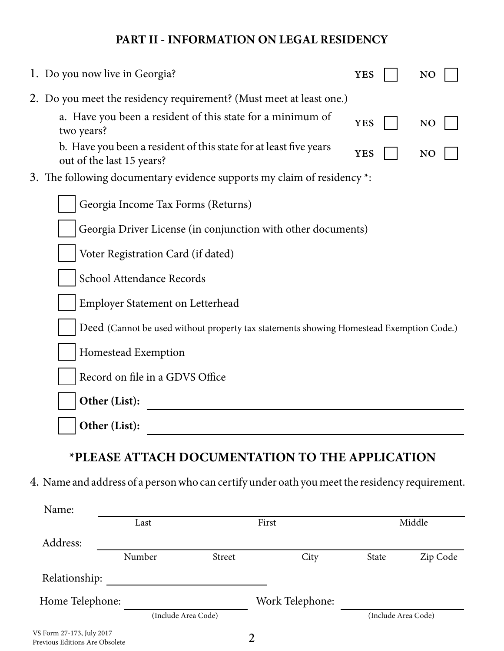## **PART II - INFORMATION ON LEGAL RESIDENCY**

| 1. Do you now live in Georgia?                                                                 | <b>YES</b> |  | N <sub>O</sub> |  |
|------------------------------------------------------------------------------------------------|------------|--|----------------|--|
| 2. Do you meet the residency requirement? (Must meet at least one.)                            |            |  |                |  |
| a. Have you been a resident of this state for a minimum of<br>two years?                       | <b>YES</b> |  | N <sub>O</sub> |  |
| b. Have you been a resident of this state for at least five years<br>out of the last 15 years? | <b>YES</b> |  | N <sub>O</sub> |  |
| 3. The following documentary evidence supports my claim of residency *:                        |            |  |                |  |
| Georgia Income Tax Forms (Returns)                                                             |            |  |                |  |
| Georgia Driver License (in conjunction with other documents)                                   |            |  |                |  |
| Voter Registration Card (if dated)                                                             |            |  |                |  |
| School Attendance Records                                                                      |            |  |                |  |
| <b>Employer Statement on Letterhead</b>                                                        |            |  |                |  |
| Deed (Cannot be used without property tax statements showing Homestead Exemption Code.)        |            |  |                |  |
| Homestead Exemption                                                                            |            |  |                |  |
| Record on file in a GDVS Office                                                                |            |  |                |  |
| Other (List):                                                                                  |            |  |                |  |
| Other (List):                                                                                  |            |  |                |  |

# **\*PLEASE ATTACH DOCUMENTATION TO THE APPLICATION**

4. Name and address of a person who can certify under oath you meet the residency requirement.

| Name:                                                       |        |                     |                 |                     |          |
|-------------------------------------------------------------|--------|---------------------|-----------------|---------------------|----------|
|                                                             | Last   |                     | First           |                     | Middle   |
| Address:                                                    |        |                     |                 |                     |          |
|                                                             | Number | <b>Street</b>       | City            | State               | Zip Code |
| Relationship:                                               |        |                     |                 |                     |          |
| Home Telephone:                                             |        |                     | Work Telephone: |                     |          |
|                                                             |        | (Include Area Code) |                 | (Include Area Code) |          |
| VS Form 27-173, July 2017<br>Previous Editions Are Obsolete |        |                     | 2               |                     |          |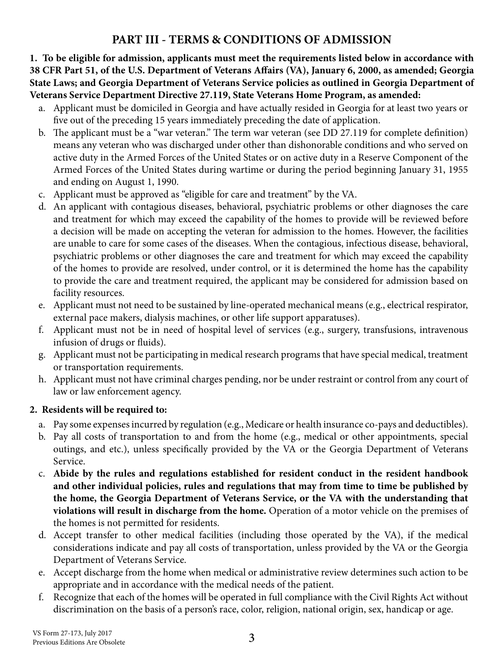## **PART III - TERMS & CONDITIONS OF ADMISSION**

**1. To be eligible for admission, applicants must meet the requirements listed below in accordance with 38 CFR Part 51, of the U.S. Department of Veterans Affairs (VA), January 6, 2000, as amended; Georgia State Laws; and Georgia Department of Veterans Service policies as outlined in Georgia Department of Veterans Service Department Directive 27.119, State Veterans Home Program, as amended:** 

- a. Applicant must be domiciled in Georgia and have actually resided in Georgia for at least two years or five out of the preceding 15 years immediately preceding the date of application.
- b. The applicant must be a "war veteran." The term war veteran (see DD 27.119 for complete definition) means any veteran who was discharged under other than dishonorable conditions and who served on active duty in the Armed Forces of the United States or on active duty in a Reserve Component of the Armed Forces of the United States during wartime or during the period beginning January 31, 1955 and ending on August 1, 1990.
- c. Applicant must be approved as "eligible for care and treatment" by the VA.
- d. An applicant with contagious diseases, behavioral, psychiatric problems or other diagnoses the care and treatment for which may exceed the capability of the homes to provide will be reviewed before a decision will be made on accepting the veteran for admission to the homes. However, the facilities are unable to care for some cases of the diseases. When the contagious, infectious disease, behavioral, psychiatric problems or other diagnoses the care and treatment for which may exceed the capability of the homes to provide are resolved, under control, or it is determined the home has the capability to provide the care and treatment required, the applicant may be considered for admission based on facility resources.
- e. Applicant must not need to be sustained by line-operated mechanical means (e.g., electrical respirator, external pace makers, dialysis machines, or other life support apparatuses).
- f. Applicant must not be in need of hospital level of services (e.g., surgery, transfusions, intravenous infusion of drugs or fluids).
- g. Applicant must not be participating in medical research programs that have special medical, treatment or transportation requirements.
- h. Applicant must not have criminal charges pending, nor be under restraint or control from any court of law or law enforcement agency.

#### **2. Residents will be required to:**

- a. Pay some expenses incurred by regulation (e.g., Medicare or health insurance co-pays and deductibles).
- b. Pay all costs of transportation to and from the home (e.g., medical or other appointments, special outings, and etc.), unless specifically provided by the VA or the Georgia Department of Veterans Service.
- c. **Abide by the rules and regulations established for resident conduct in the resident handbook and other individual policies, rules and regulations that may from time to time be published by the home, the Georgia Department of Veterans Service, or the VA with the understanding that violations will result in discharge from the home.** Operation of a motor vehicle on the premises of the homes is not permitted for residents.
- d. Accept transfer to other medical facilities (including those operated by the VA), if the medical considerations indicate and pay all costs of transportation, unless provided by the VA or the Georgia Department of Veterans Service.
- e. Accept discharge from the home when medical or administrative review determines such action to be appropriate and in accordance with the medical needs of the patient.
- f. Recognize that each of the homes will be operated in full compliance with the Civil Rights Act without discrimination on the basis of a person's race, color, religion, national origin, sex, handicap or age.